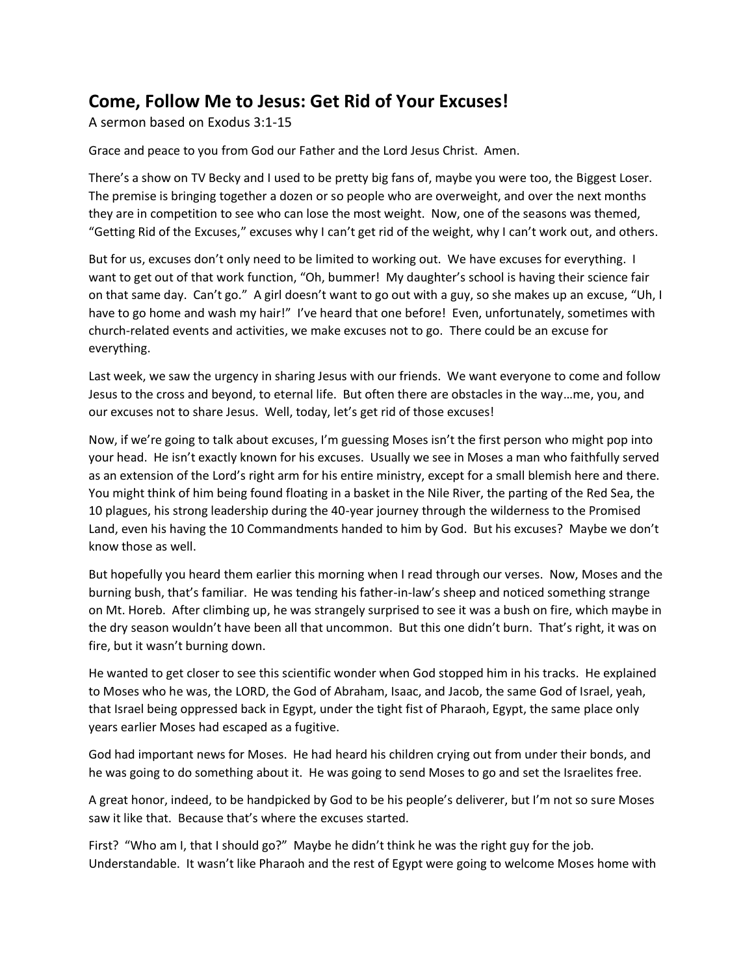## **Come, Follow Me to Jesus: Get Rid of Your Excuses!**

A sermon based on Exodus 3:1-15

Grace and peace to you from God our Father and the Lord Jesus Christ. Amen.

There's a show on TV Becky and I used to be pretty big fans of, maybe you were too, the Biggest Loser. The premise is bringing together a dozen or so people who are overweight, and over the next months they are in competition to see who can lose the most weight. Now, one of the seasons was themed, "Getting Rid of the Excuses," excuses why I can't get rid of the weight, why I can't work out, and others.

But for us, excuses don't only need to be limited to working out. We have excuses for everything. I want to get out of that work function, "Oh, bummer! My daughter's school is having their science fair on that same day. Can't go." A girl doesn't want to go out with a guy, so she makes up an excuse, "Uh, I have to go home and wash my hair!" I've heard that one before! Even, unfortunately, sometimes with church-related events and activities, we make excuses not to go. There could be an excuse for everything.

Last week, we saw the urgency in sharing Jesus with our friends. We want everyone to come and follow Jesus to the cross and beyond, to eternal life. But often there are obstacles in the way…me, you, and our excuses not to share Jesus. Well, today, let's get rid of those excuses!

Now, if we're going to talk about excuses, I'm guessing Moses isn't the first person who might pop into your head. He isn't exactly known for his excuses. Usually we see in Moses a man who faithfully served as an extension of the Lord's right arm for his entire ministry, except for a small blemish here and there. You might think of him being found floating in a basket in the Nile River, the parting of the Red Sea, the 10 plagues, his strong leadership during the 40-year journey through the wilderness to the Promised Land, even his having the 10 Commandments handed to him by God. But his excuses? Maybe we don't know those as well.

But hopefully you heard them earlier this morning when I read through our verses. Now, Moses and the burning bush, that's familiar. He was tending his father-in-law's sheep and noticed something strange on Mt. Horeb. After climbing up, he was strangely surprised to see it was a bush on fire, which maybe in the dry season wouldn't have been all that uncommon. But this one didn't burn. That's right, it was on fire, but it wasn't burning down.

He wanted to get closer to see this scientific wonder when God stopped him in his tracks. He explained to Moses who he was, the LORD, the God of Abraham, Isaac, and Jacob, the same God of Israel, yeah, that Israel being oppressed back in Egypt, under the tight fist of Pharaoh, Egypt, the same place only years earlier Moses had escaped as a fugitive.

God had important news for Moses. He had heard his children crying out from under their bonds, and he was going to do something about it. He was going to send Moses to go and set the Israelites free.

A great honor, indeed, to be handpicked by God to be his people's deliverer, but I'm not so sure Moses saw it like that. Because that's where the excuses started.

First? "Who am I, that I should go?" Maybe he didn't think he was the right guy for the job. Understandable. It wasn't like Pharaoh and the rest of Egypt were going to welcome Moses home with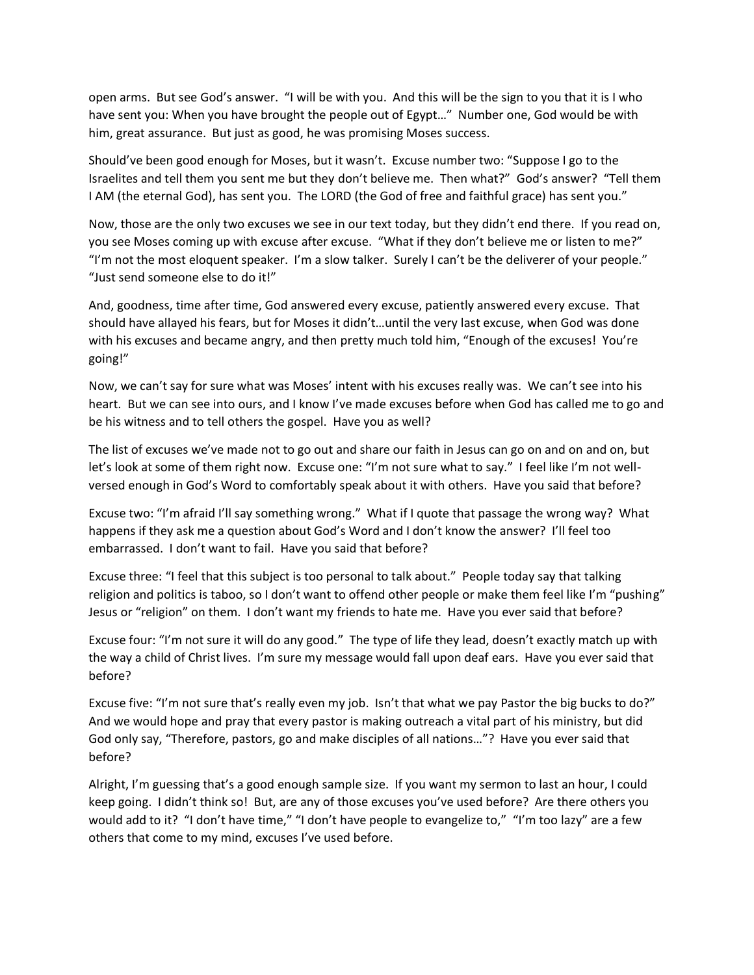open arms. But see God's answer. "I will be with you. And this will be the sign to you that it is I who have sent you: When you have brought the people out of Egypt..." Number one, God would be with him, great assurance. But just as good, he was promising Moses success.

Should've been good enough for Moses, but it wasn't. Excuse number two: "Suppose I go to the Israelites and tell them you sent me but they don't believe me. Then what?" God's answer? "Tell them I AM (the eternal God), has sent you. The LORD (the God of free and faithful grace) has sent you."

Now, those are the only two excuses we see in our text today, but they didn't end there. If you read on, you see Moses coming up with excuse after excuse. "What if they don't believe me or listen to me?" "I'm not the most eloquent speaker. I'm a slow talker. Surely I can't be the deliverer of your people." "Just send someone else to do it!"

And, goodness, time after time, God answered every excuse, patiently answered every excuse. That should have allayed his fears, but for Moses it didn't…until the very last excuse, when God was done with his excuses and became angry, and then pretty much told him, "Enough of the excuses! You're going!"

Now, we can't say for sure what was Moses' intent with his excuses really was. We can't see into his heart. But we can see into ours, and I know I've made excuses before when God has called me to go and be his witness and to tell others the gospel. Have you as well?

The list of excuses we've made not to go out and share our faith in Jesus can go on and on and on, but let's look at some of them right now. Excuse one: "I'm not sure what to say." I feel like I'm not wellversed enough in God's Word to comfortably speak about it with others. Have you said that before?

Excuse two: "I'm afraid I'll say something wrong." What if I quote that passage the wrong way? What happens if they ask me a question about God's Word and I don't know the answer? I'll feel too embarrassed. I don't want to fail. Have you said that before?

Excuse three: "I feel that this subject is too personal to talk about." People today say that talking religion and politics is taboo, so I don't want to offend other people or make them feel like I'm "pushing" Jesus or "religion" on them. I don't want my friends to hate me. Have you ever said that before?

Excuse four: "I'm not sure it will do any good." The type of life they lead, doesn't exactly match up with the way a child of Christ lives. I'm sure my message would fall upon deaf ears. Have you ever said that before?

Excuse five: "I'm not sure that's really even my job. Isn't that what we pay Pastor the big bucks to do?" And we would hope and pray that every pastor is making outreach a vital part of his ministry, but did God only say, "Therefore, pastors, go and make disciples of all nations…"? Have you ever said that before?

Alright, I'm guessing that's a good enough sample size. If you want my sermon to last an hour, I could keep going. I didn't think so! But, are any of those excuses you've used before? Are there others you would add to it? "I don't have time," "I don't have people to evangelize to," "I'm too lazy" are a few others that come to my mind, excuses I've used before.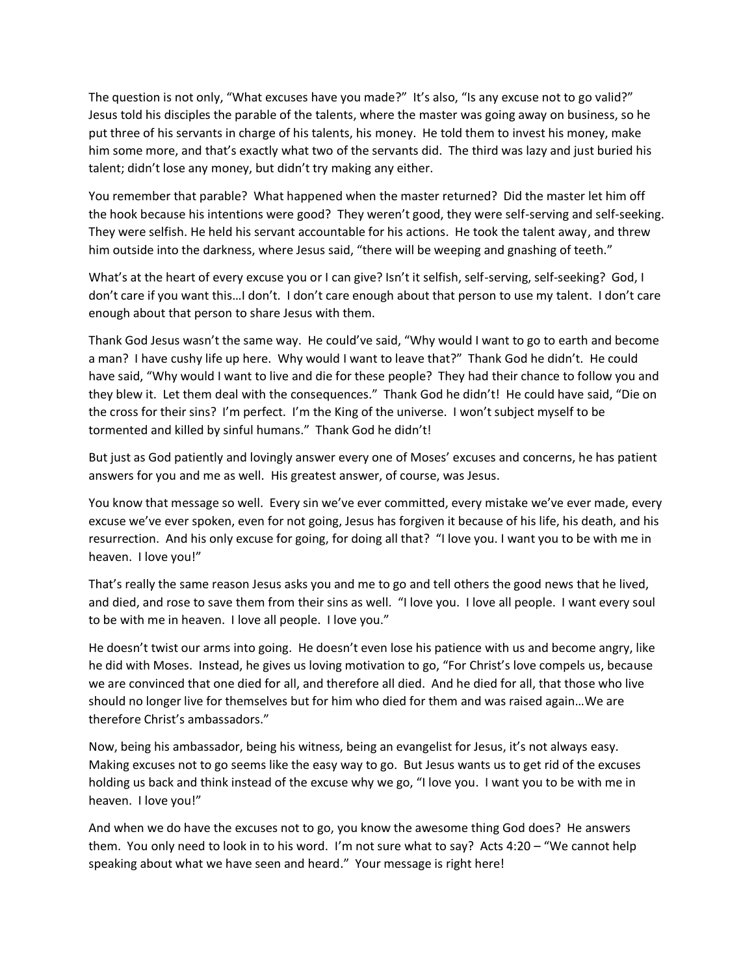The question is not only, "What excuses have you made?" It's also, "Is any excuse not to go valid?" Jesus told his disciples the parable of the talents, where the master was going away on business, so he put three of his servants in charge of his talents, his money. He told them to invest his money, make him some more, and that's exactly what two of the servants did. The third was lazy and just buried his talent; didn't lose any money, but didn't try making any either.

You remember that parable? What happened when the master returned? Did the master let him off the hook because his intentions were good? They weren't good, they were self-serving and self-seeking. They were selfish. He held his servant accountable for his actions. He took the talent away, and threw him outside into the darkness, where Jesus said, "there will be weeping and gnashing of teeth."

What's at the heart of every excuse you or I can give? Isn't it selfish, self-serving, self-seeking? God, I don't care if you want this…I don't. I don't care enough about that person to use my talent. I don't care enough about that person to share Jesus with them.

Thank God Jesus wasn't the same way. He could've said, "Why would I want to go to earth and become a man? I have cushy life up here. Why would I want to leave that?" Thank God he didn't. He could have said, "Why would I want to live and die for these people? They had their chance to follow you and they blew it. Let them deal with the consequences." Thank God he didn't! He could have said, "Die on the cross for their sins? I'm perfect. I'm the King of the universe. I won't subject myself to be tormented and killed by sinful humans." Thank God he didn't!

But just as God patiently and lovingly answer every one of Moses' excuses and concerns, he has patient answers for you and me as well. His greatest answer, of course, was Jesus.

You know that message so well. Every sin we've ever committed, every mistake we've ever made, every excuse we've ever spoken, even for not going, Jesus has forgiven it because of his life, his death, and his resurrection. And his only excuse for going, for doing all that? "I love you. I want you to be with me in heaven. I love you!"

That's really the same reason Jesus asks you and me to go and tell others the good news that he lived, and died, and rose to save them from their sins as well. "I love you. I love all people. I want every soul to be with me in heaven. I love all people. I love you."

He doesn't twist our arms into going. He doesn't even lose his patience with us and become angry, like he did with Moses. Instead, he gives us loving motivation to go, "For Christ's love compels us, because we are convinced that one died for all, and therefore all died. And he died for all, that those who live should no longer live for themselves but for him who died for them and was raised again…We are therefore Christ's ambassadors."

Now, being his ambassador, being his witness, being an evangelist for Jesus, it's not always easy. Making excuses not to go seems like the easy way to go. But Jesus wants us to get rid of the excuses holding us back and think instead of the excuse why we go, "I love you. I want you to be with me in heaven. I love you!"

And when we do have the excuses not to go, you know the awesome thing God does? He answers them. You only need to look in to his word. I'm not sure what to say? Acts 4:20 – "We cannot help speaking about what we have seen and heard." Your message is right here!